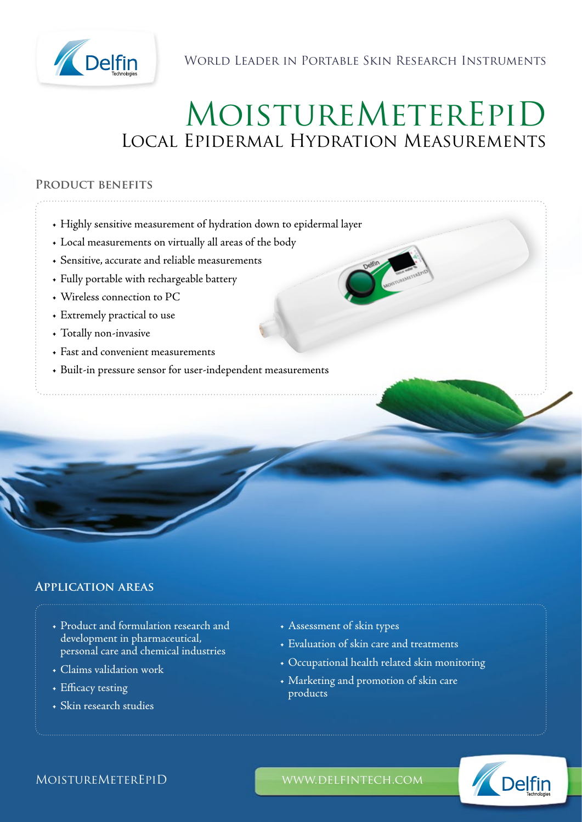

WORLD LEADER IN PORTABLE SKIN RESEARCH INSTRUMENTS

# MoistureMeterEpiD Local Epidermal Hydration Measurements

### **Product benefits**

- Highly sensitive measurement of hydration down to epidermal layer
- Local measurements on virtually all areas of the body
- Sensitive, accurate and reliable measurements
- Fully portable with rechargeable battery
- Wireless connection to PC
- Extremely practical to use
- Totally non-invasive
- Fast and convenient measurements
- Built-in pressure sensor for user-independent measurements

#### **Application areas**

- Product and formulation research and development in pharmaceutical, personal care and chemical industries
- Claims validation work
- Efficacy testing
- Skin research studies
- Assessment of skin types
- Evaluation of skin care and treatments
- Occupational health related skin monitoring
- Marketing and promotion of skin care products



#### MOISTUREMETEREPID www.delfintech.com